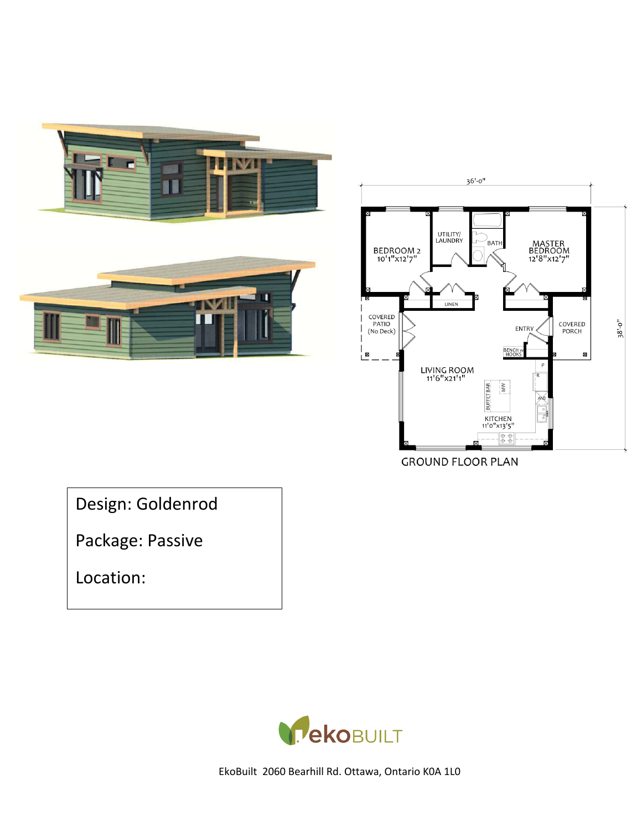



**GROUND FLOOR PLAN** 

Design: Goldenrod

Package: Passive

Location:

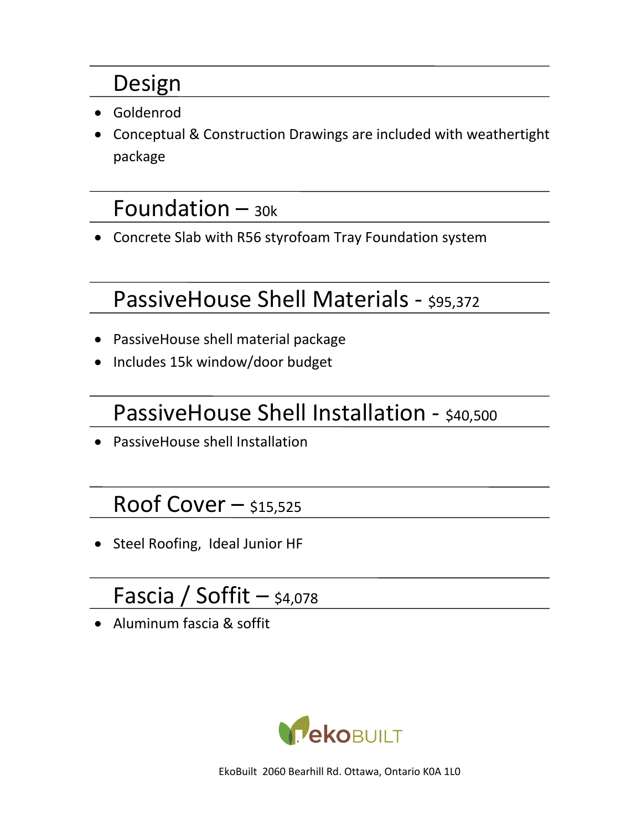## Design

- Goldenrod
- Conceptual & Construction Drawings are included with weathertight package

## Foundation  $-$  30k

• Concrete Slab with R56 styrofoam Tray Foundation system

# PassiveHouse Shell Materials - \$95,372

- PassiveHouse shell material package
- Includes 15k window/door budget

# PassiveHouse Shell Installation - \$40,500

• PassiveHouse shell Installation

## Roof Cover  $-$  \$15,525

• Steel Roofing, Ideal Junior HF

# Fascia / Soffit  $-$  \$4,078

• Aluminum fascia & soffit

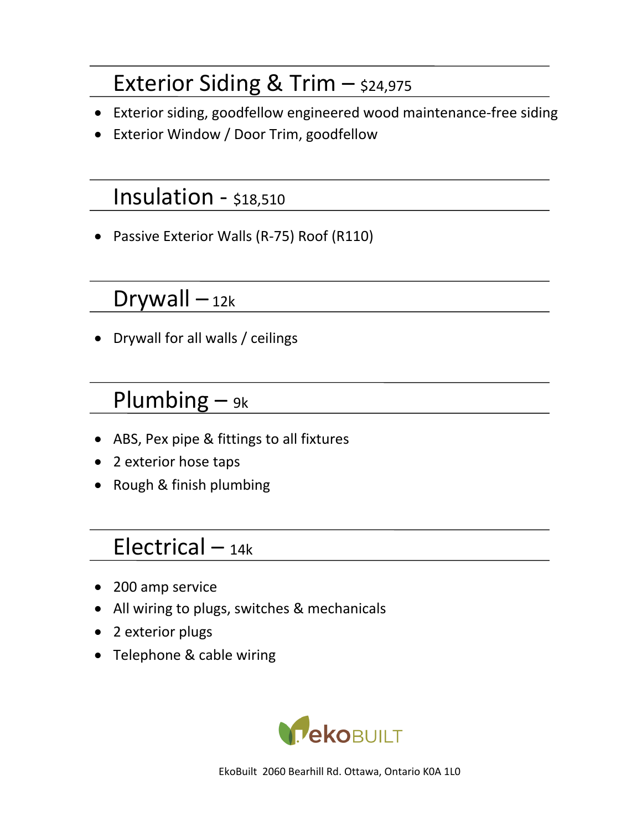## Exterior Siding & Trim  $-$  \$24,975

- Exterior siding, goodfellow engineered wood maintenance-free siding
- Exterior Window / Door Trim, goodfellow

#### Insulation - \$18,510

• Passive Exterior Walls (R-75) Roof (R110)

### Drywall  $-<sub>12k</sub>$

• Drywall for all walls / ceilings

## Plumbing  $-$  9k

- ABS, Pex pipe & fittings to all fixtures
- 2 exterior hose taps
- Rough & finish plumbing

## Electrical  $-$  14k

- 200 amp service
- All wiring to plugs, switches & mechanicals
- 2 exterior plugs
- Telephone & cable wiring